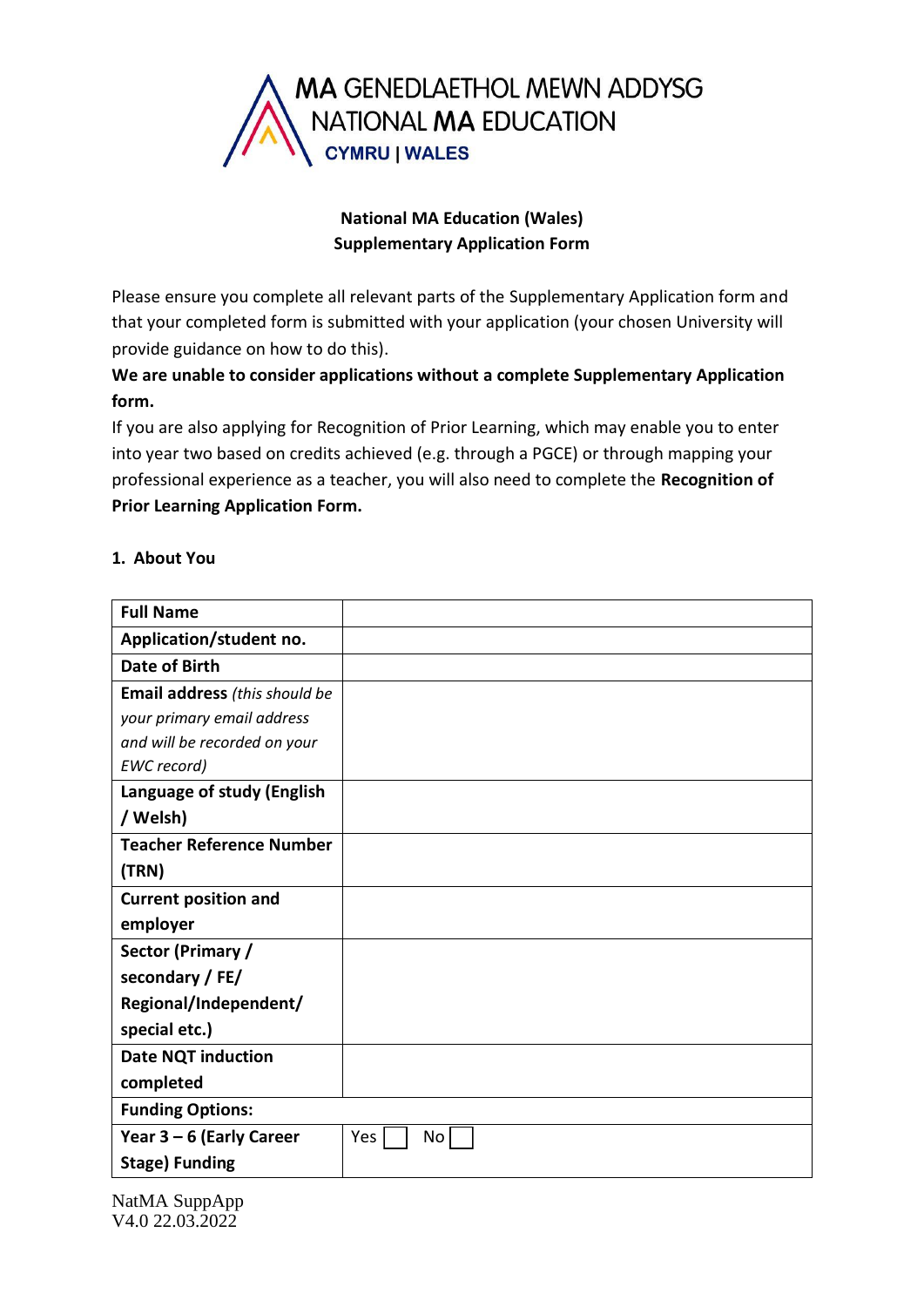

# **National MA Education (Wales) Supplementary Application Form**

Please ensure you complete all relevant parts of the Supplementary Application form and that your completed form is submitted with your application (your chosen University will provide guidance on how to do this).

**We are unable to consider applications without a complete Supplementary Application form.**

If you are also applying for Recognition of Prior Learning, which may enable you to enter into year two based on credits achieved (e.g. through a PGCE) or through mapping your professional experience as a teacher, you will also need to complete the **Recognition of Prior Learning Application Form.**

### **1. About You**

| <b>Full Name</b>                |           |  |
|---------------------------------|-----------|--|
| Application/student no.         |           |  |
| <b>Date of Birth</b>            |           |  |
| Email address (this should be   |           |  |
| your primary email address      |           |  |
| and will be recorded on your    |           |  |
| EWC record)                     |           |  |
| Language of study (English      |           |  |
| / Welsh)                        |           |  |
| <b>Teacher Reference Number</b> |           |  |
| (TRN)                           |           |  |
| <b>Current position and</b>     |           |  |
| employer                        |           |  |
| Sector (Primary /               |           |  |
| secondary / FE/                 |           |  |
| Regional/Independent/           |           |  |
| special etc.)                   |           |  |
| <b>Date NQT induction</b>       |           |  |
| completed                       |           |  |
| <b>Funding Options:</b>         |           |  |
| Year $3-6$ (Early Career        | Yes<br>No |  |
| <b>Stage) Funding</b>           |           |  |

NatMA SuppApp V4.0 22.03.2022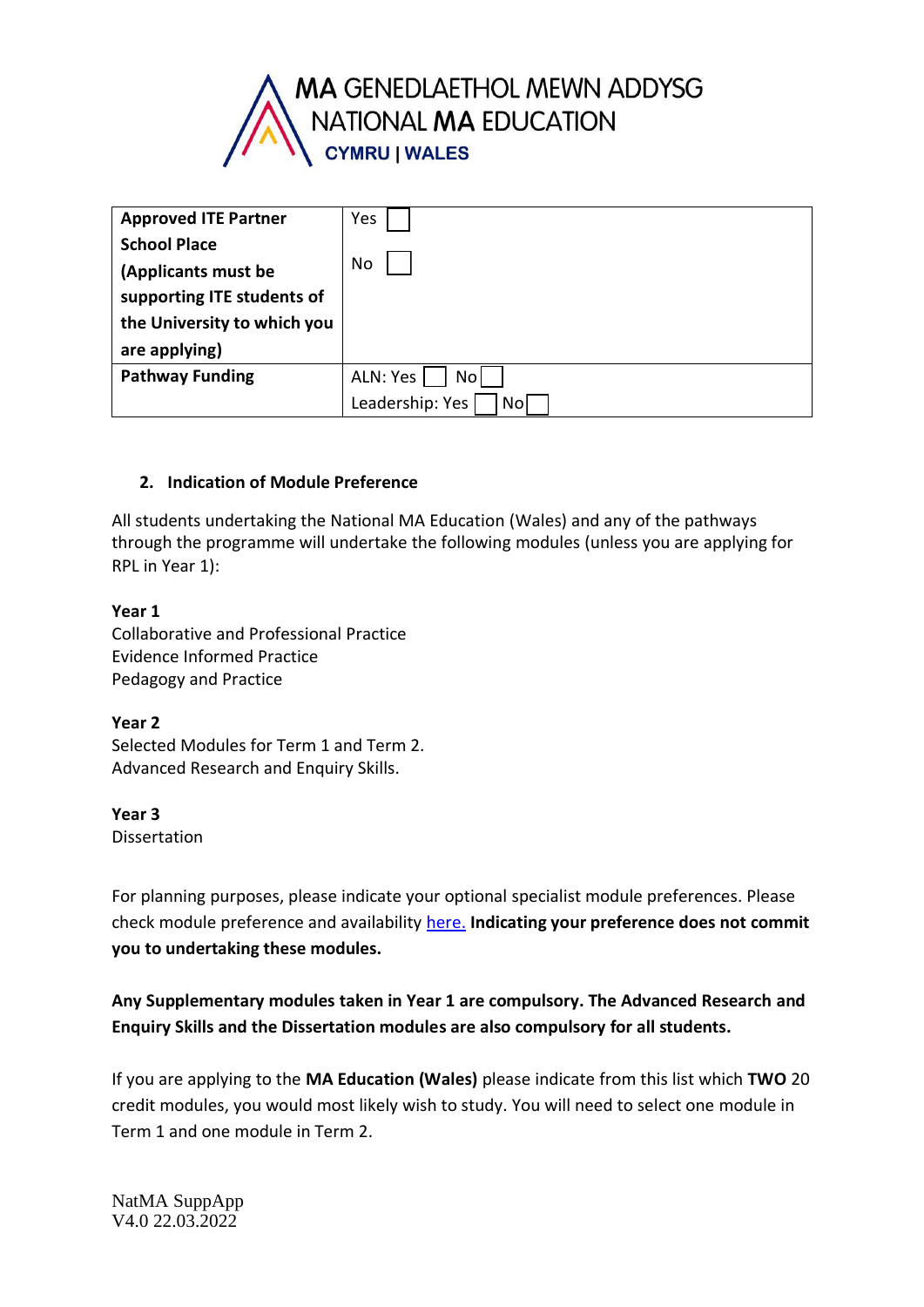

| <b>Approved ITE Partner</b> | Yes                   |
|-----------------------------|-----------------------|
| <b>School Place</b>         |                       |
| (Applicants must be         | No                    |
| supporting ITE students of  |                       |
| the University to which you |                       |
| are applying)               |                       |
| <b>Pathway Funding</b>      | ALN: Yes<br>No l      |
|                             | Leadership: Yes<br>No |

### **2. Indication of Module Preference**

All students undertaking the National MA Education (Wales) and any of the pathways through the programme will undertake the following modules (unless you are applying for RPL in Year 1):

#### **Year 1**

Collaborative and Professional Practice Evidence Informed Practice Pedagogy and Practice

#### **Year 2**

Selected Modules for Term 1 and Term 2. Advanced Research and Enquiry Skills.

#### **Year 3** Dissertation

For planning purposes, please indicate your optional specialist module preferences. Please check module preference and availability [here.](https://www.swansea.ac.uk/postgraduate/taught/artsandhumanities/ma-education-wales/#modules=is-expanded) **Indicating your preference does not commit you to undertaking these modules.** 

# **Any Supplementary modules taken in Year 1 are compulsory. The Advanced Research and Enquiry Skills and the Dissertation modules are also compulsory for all students.**

If you are applying to the **MA Education (Wales)** please indicate from this list which **TWO** 20 credit modules, you would most likely wish to study. You will need to select one module in Term 1 and one module in Term 2.

NatMA SuppApp V4.0 22.03.2022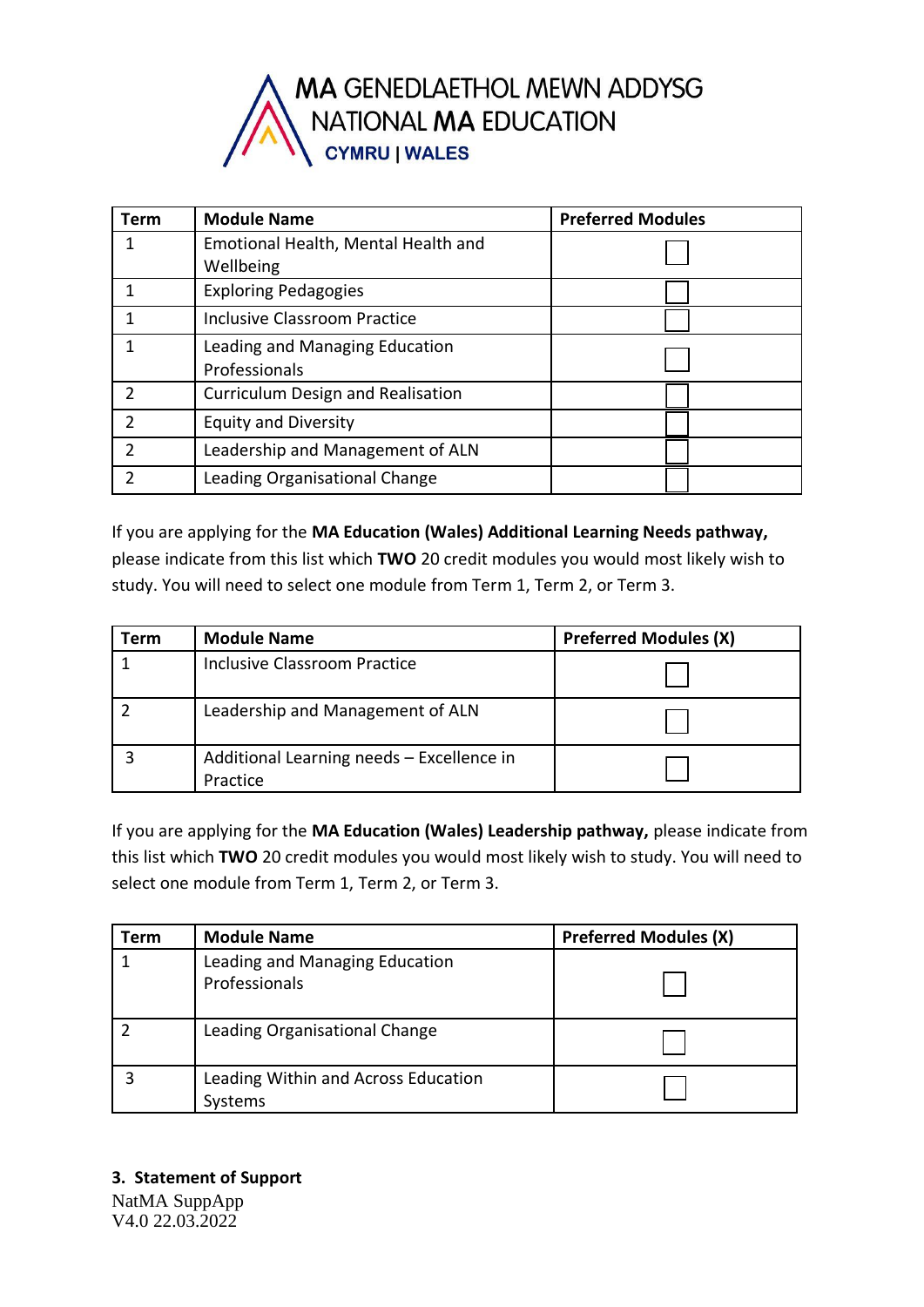

| Term | <b>Module Name</b>                       | <b>Preferred Modules</b> |
|------|------------------------------------------|--------------------------|
|      | Emotional Health, Mental Health and      |                          |
|      | Wellbeing                                |                          |
|      | <b>Exploring Pedagogies</b>              |                          |
|      | <b>Inclusive Classroom Practice</b>      |                          |
|      | Leading and Managing Education           |                          |
|      | Professionals                            |                          |
|      | <b>Curriculum Design and Realisation</b> |                          |
|      | <b>Equity and Diversity</b>              |                          |
|      | Leadership and Management of ALN         |                          |
|      | Leading Organisational Change            |                          |

If you are applying for the **MA Education (Wales) Additional Learning Needs pathway,**  please indicate from this list which **TWO** 20 credit modules you would most likely wish to study. You will need to select one module from Term 1, Term 2, or Term 3.

| <b>Term</b> | <b>Module Name</b>                                    | <b>Preferred Modules (X)</b> |
|-------------|-------------------------------------------------------|------------------------------|
|             | <b>Inclusive Classroom Practice</b>                   |                              |
|             | Leadership and Management of ALN                      |                              |
|             | Additional Learning needs - Excellence in<br>Practice |                              |

If you are applying for the **MA Education (Wales) Leadership pathway,** please indicate from this list which **TWO** 20 credit modules you would most likely wish to study. You will need to select one module from Term 1, Term 2, or Term 3.

| Геrm | <b>Module Name</b>                              | <b>Preferred Modules (X)</b> |
|------|-------------------------------------------------|------------------------------|
|      | Leading and Managing Education<br>Professionals |                              |
|      | Leading Organisational Change                   |                              |
|      | Leading Within and Across Education<br>Systems  |                              |

NatMA SuppApp V4.0 22.03.2022 **3. Statement of Support**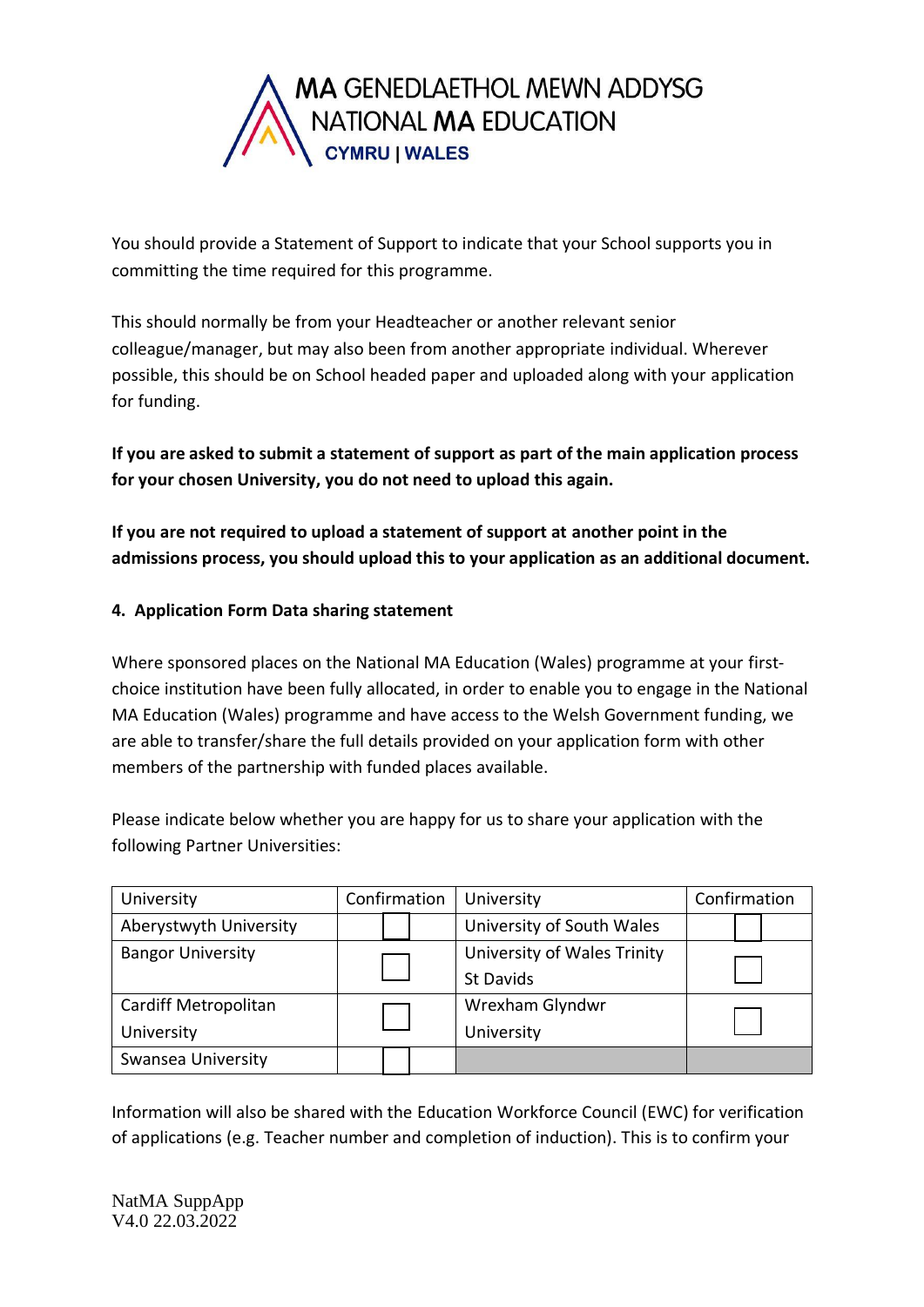

You should provide a Statement of Support to indicate that your School supports you in committing the time required for this programme.

This should normally be from your Headteacher or another relevant senior colleague/manager, but may also been from another appropriate individual. Wherever possible, this should be on School headed paper and uploaded along with your application for funding.

**If you are asked to submit a statement of support as part of the main application process for your chosen University, you do not need to upload this again.** 

**If you are not required to upload a statement of support at another point in the admissions process, you should upload this to your application as an additional document.**

## **4. Application Form Data sharing statement**

Where sponsored places on the National MA Education (Wales) programme at your firstchoice institution have been fully allocated, in order to enable you to engage in the National MA Education (Wales) programme and have access to the Welsh Government funding, we are able to transfer/share the full details provided on your application form with other members of the partnership with funded places available.

Please indicate below whether you are happy for us to share your application with the following Partner Universities:

| University               | Confirmation | University                  | Confirmation |
|--------------------------|--------------|-----------------------------|--------------|
| Aberystwyth University   |              | University of South Wales   |              |
| <b>Bangor University</b> |              | University of Wales Trinity |              |
|                          |              | <b>St Davids</b>            |              |
| Cardiff Metropolitan     |              | Wrexham Glyndwr             |              |
| University               |              | University                  |              |
| Swansea University       |              |                             |              |

Information will also be shared with the Education Workforce Council (EWC) for verification of applications (e.g. Teacher number and completion of induction). This is to confirm your

NatMA SuppApp V4.0 22.03.2022